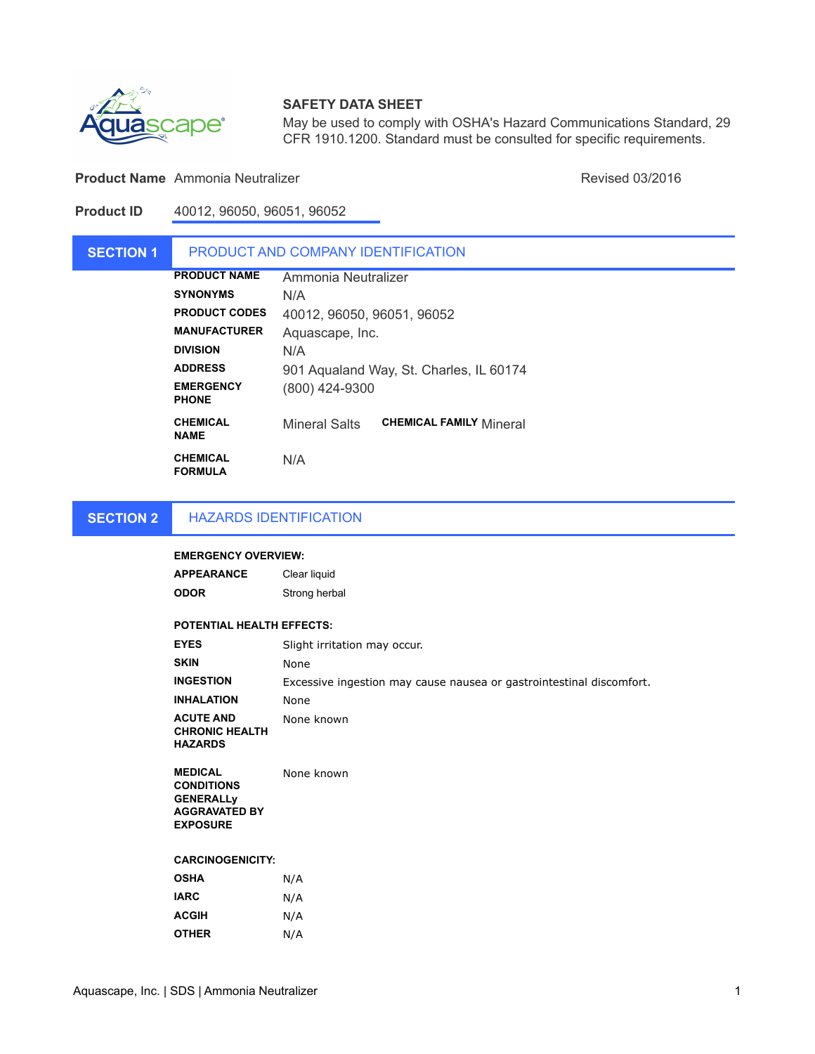

## **SAFETY DATA SHEET**

May be used to comply with OSHA's Hazard Communications Standard, 29 CFR 1910.1200. Standard must be consulted for specific requirements.

### **Product Name** Ammonia Neutralizer **Ammonia Neutralizer Revised 03/2016** Revised 03/2016

**Product ID** 40012, 96050, 96051, 96052

### **SECTION 1 PRODUCT NAME SYNONYMS** N/A **PRODUCT CODES MANUFACTURER DIVISION ADDRESS EMERGENCY PHONE** (800) 424-9300 **CHEMICAL NAME**  Mineral Salts **CHEMICAL FAMILY** Mineral PRODUCT AND COMPANY IDENTIFICATION Aquascape, Inc. 40012, 96050, 96051, 96052 N/A 901 Aqualand Way, St. Charles, IL 60174 Ammonia Neutralizer

**CHEMICAL FORMULA**  N/A

#### **SECTION 2** HAZARDS IDENTIFICATION

### **EMERGENCY OVERVIEW:**

| APPEARANCE | Clear liquid  |
|------------|---------------|
| ODOR       | Strong herbal |

### **POTENTIAL HEALTH EFFECTS:**

| <b>EYES</b>                                                 | Slight irritation may occur.                                         |
|-------------------------------------------------------------|----------------------------------------------------------------------|
| <b>SKIN</b>                                                 | None                                                                 |
| <b>INGESTION</b>                                            | Excessive ingestion may cause nausea or gastrointestinal discomfort. |
| <b>INHALATION</b>                                           | None                                                                 |
| <b>ACUTE AND</b><br><b>CHRONIC HEALTH</b><br><b>HAZARDS</b> | None known                                                           |

**MEDICAL CONDITIONS GENERALLy AGGRAVATED BY EXPOSURE** None known

### **CARCINOGENICITY:**

| <b>OSHA</b>  | N/A |
|--------------|-----|
| <b>IARC</b>  | N/A |
| <b>ACGIH</b> | N/A |
| <b>OTHER</b> | N/A |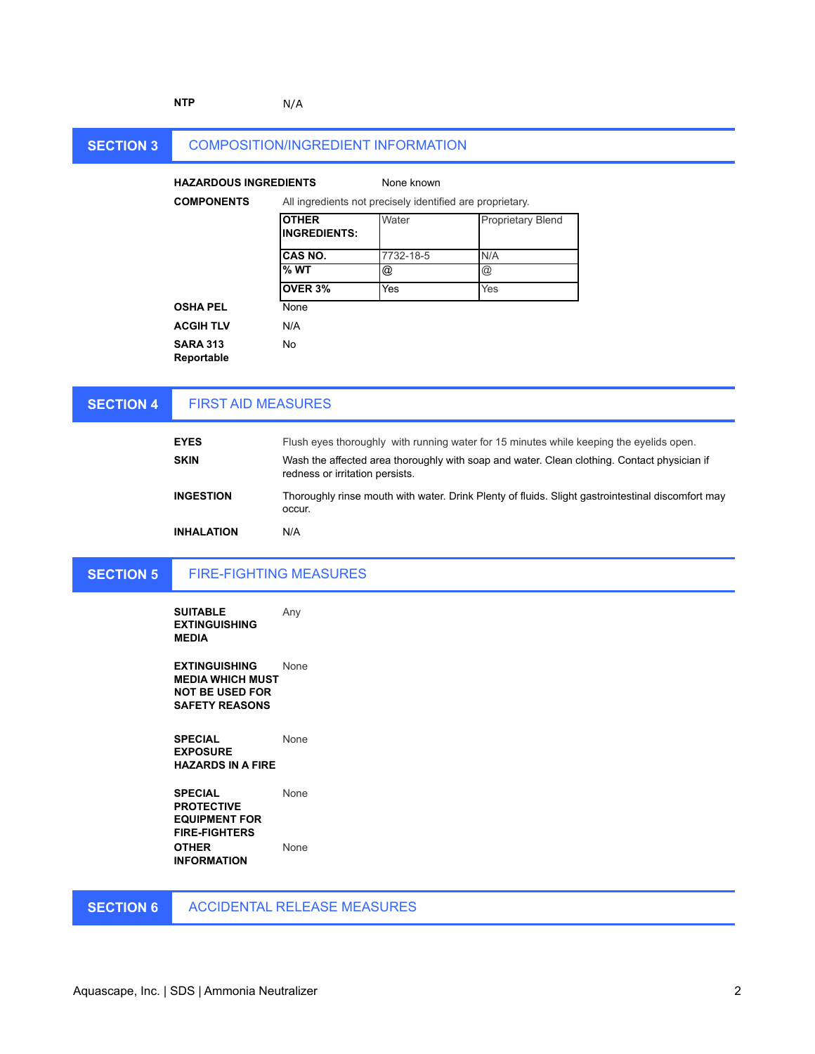### **NTP** N/A

#### **SECTION 3** COMPOSITION/INGREDIENT INFORMATION

### **HAZARDOUS INGREDIENTS**

### None known

| <b>COMPONENTS</b>                    |                                     | All ingredients not precisely identified are proprietary. |                          |  |
|--------------------------------------|-------------------------------------|-----------------------------------------------------------|--------------------------|--|
|                                      | <b>OTHER</b><br><b>INGREDIENTS:</b> | Water                                                     | <b>Proprietary Blend</b> |  |
|                                      | CAS NO.                             | 7732-18-5                                                 | N/A                      |  |
|                                      | % WT                                | @                                                         | $^{\copyright}$          |  |
|                                      | OVER 3%                             | Yes                                                       | Yes                      |  |
| <b>OSHA PEL</b>                      | None                                |                                                           |                          |  |
| <b>ACGIH TLV</b>                     | N/A                                 |                                                           |                          |  |
| <b>SARA 313</b><br><b>Donortable</b> | No                                  |                                                           |                          |  |

SARA **Reportable**

#### **SECTION 4** FIRST AID MEASURES

| <b>EYES</b>       | Flush eyes thoroughly with running water for 15 minutes while keeping the eyelids open.                                        |
|-------------------|--------------------------------------------------------------------------------------------------------------------------------|
| <b>SKIN</b>       | Wash the affected area thoroughly with soap and water. Clean clothing. Contact physician if<br>redness or irritation persists. |
| <b>INGESTION</b>  | Thoroughly rinse mouth with water. Drink Plenty of fluids. Slight gastrointestinal discomfort may<br>occur.                    |
| <b>INHALATION</b> | N/A                                                                                                                            |

#### **SECTION 5** FIRE-FIGHTING MEASURES

**SUITABLE EXTINGUISHING MEDIA** Any

**EXTINGUISHING MEDIA WHICH MUST NOT BE USED FOR SAFETY REASONS** None

**SPECIAL EXPOSURE HAZARDS IN A FIRE** None

**SPECIAL PROTECTIVE EQUIPMENT FOR FIRE-FIGHTERS** None **OTHER INFORMATION** None

#### **SECTION 6** ACCIDENTAL RELEASE MEASURES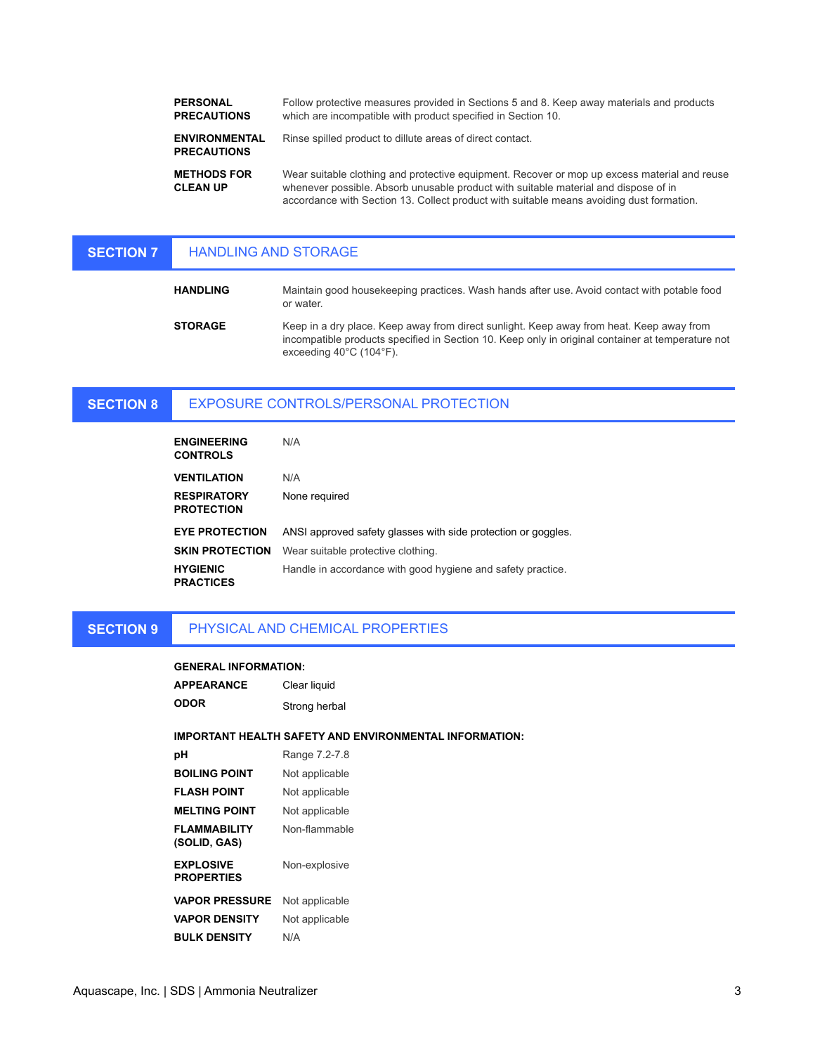**PERSONAL PRECAUTIONS ENVIRONMENTAL PRECAUTIONS METHODS FOR CLEAN UP** Follow protective measures provided in Sections 5 and 8. Keep away materials and products which are incompatible with product specified in Section 10. Wear suitable clothing and protective equipment. Recover or mop up excess material and reuse whenever possible. Absorb unusable product with suitable material and dispose of in Rinse spilled product to dillute areas of direct contact.

accordance with Section 13. Collect product with suitable means avoiding dust formation.

#### **SECTION 7** HANDLING AND STORAGE

| <b>HANDLING</b> | Maintain good housekeeping practices. Wash hands after use. Avoid contact with potable food<br>or water.                                                                                                                                      |
|-----------------|-----------------------------------------------------------------------------------------------------------------------------------------------------------------------------------------------------------------------------------------------|
| <b>STORAGE</b>  | Keep in a dry place. Keep away from direct sunlight. Keep away from heat. Keep away from<br>incompatible products specified in Section 10. Keep only in original container at temperature not<br>exceeding $40^{\circ}$ C (104 $^{\circ}$ F). |

#### **SECTION 8** EXPOSURE CONTROLS/PERSONAL PROTECTION

| <b>ENGINEERING</b><br><b>CONTROLS</b>   | N/A                                                           |
|-----------------------------------------|---------------------------------------------------------------|
| <b>VENTILATION</b>                      | N/A                                                           |
| <b>RESPIRATORY</b><br><b>PROTECTION</b> | None required                                                 |
| <b>EYE PROTECTION</b>                   | ANSI approved safety glasses with side protection or goggles. |
| <b>SKIN PROTECTION</b>                  | Wear suitable protective clothing.                            |
| <b>HYGIENIC</b><br><b>PRACTICES</b>     | Handle in accordance with good hygiene and safety practice.   |

**SECTION 9** PHYSICAL AND CHEMICAL PROPERTIES

### **GENERAL INFORMATION:**

| APPEARANCE                            | Clear liquid                                           |
|---------------------------------------|--------------------------------------------------------|
| ODOR                                  | Strong herbal                                          |
|                                       | IMPORTANT HEALTH SAFETY AND ENVIRONMENTAL INFORMATION: |
| рH                                    | Range 7.2-7.8                                          |
| <b>BOILING POINT</b>                  | Not applicable                                         |
| FLASH POINT                           | Not applicable                                         |
| <b>MELTING POINT</b>                  | Not applicable                                         |
| FLAMMABILITY<br>(SOLID, GAS)          | Non-flammable                                          |
| <b>EXPLOSIVE</b><br><b>PROPERTIES</b> | Non-explosive                                          |
| <b>VAPOR PRESSURE</b>                 | Not applicable                                         |
| <b>VAPOR DENSITY</b>                  | Not applicable                                         |
| <b>BULK DENSITY</b>                   | N/A                                                    |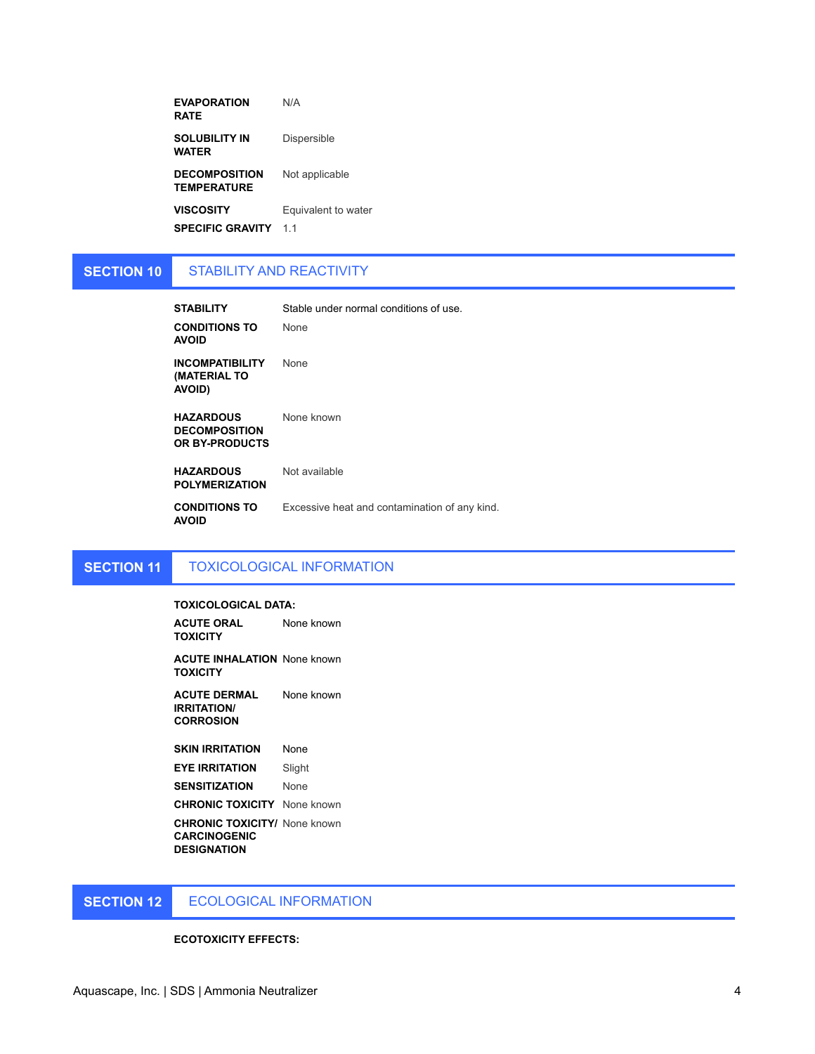| <b>EVAPORATION</b><br><b>RATE</b>          | N/A                 |
|--------------------------------------------|---------------------|
| <b>SOLUBILITY IN</b><br>WATER              | Dispersible         |
| <b>DECOMPOSITION</b><br><b>TEMPERATURE</b> | Not applicable      |
| <b>VISCOSITY</b>                           | Equivalent to water |
| <b>SPECIFIC GRAVITY</b>                    | 11                  |

#### **SECTION 10** STABILITY AND REACTIVITY

| <b>STABILITY</b><br><b>CONDITIONS TO</b><br><b>AVOID</b>   | Stable under normal conditions of use.<br><b>None</b> |
|------------------------------------------------------------|-------------------------------------------------------|
| <b>INCOMPATIBILITY</b><br>(MATERIAL TO<br><b>AVOID)</b>    | None                                                  |
| <b>HAZARDOUS</b><br><b>DECOMPOSITION</b><br>OR BY-PRODUCTS | None known                                            |
| <b>HAZARDOUS</b><br><b>POLYMERIZATION</b>                  | Not available                                         |
| <b>CONDITIONS TO</b><br><b>AVOID</b>                       | Excessive heat and contamination of any kind.         |

#### **SECTION 11** TOXICOLOGICAL INFORMATION

### **TOXICOLOGICAL DATA:**

**ACUTE ORAL TOXICITY** None known

**ACUTE INHALATION**  None known **TOXICITY**

**ACUTE DERMAL IRRITATION/ CORROSION** None known

**SKIN IRRITATION** None **EYE IRRITATION** Slight

**SENSITIZATION** None

**CHRONIC TOXICITY** None known

**CHRONIC TOXICITY/**  None known **CARCINOGENIC DESIGNATION**

**SECTION 12** ECOLOGICAL INFORMATION

### **ECOTOXICITY EFFECTS:**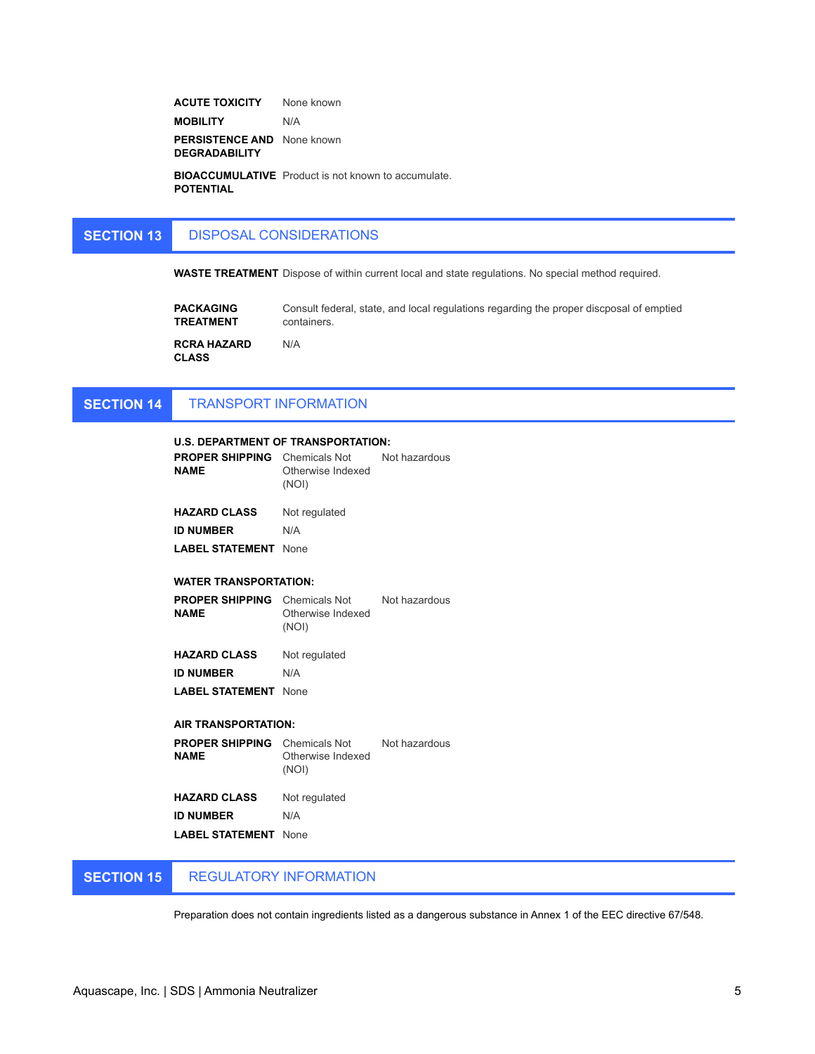**ACUTE TOXICITY** None known **MOBILITY** N/A **PERSISTENCE AND**  None known **DEGRADABILITY**

**BIOACCUMULATIVE**  Product is not known to accumulate. **POTENTIAL**

#### **SECTION 13** DISPOSAL CONSIDERATIONS

**WASTE TREATMENT** Dispose of within current local and state regulations. No special method required.

| <b>PACKAGING</b>                   | Consult federal, state, and local regulations regarding the proper discposal of emptied |
|------------------------------------|-----------------------------------------------------------------------------------------|
| <b>TREATMENT</b>                   | containers.                                                                             |
| <b>RCRA HAZARD</b><br><b>CLASS</b> | N/A                                                                                     |

#### **SECTION 14** TRANSPORT INFORMATION

| <b>U.S. DEPARTMENT OF TRANSPORTATION:</b>           |                                                           |               |  |
|-----------------------------------------------------|-----------------------------------------------------------|---------------|--|
| PROPER SHIPPING<br><b>NAMF</b>                      | Chemicals Not Not hazardous<br>Otherwise Indexed<br>(NOI) |               |  |
| <b>HAZARD CLASS</b>                                 | Not regulated                                             |               |  |
| <b>ID NUMBER</b>                                    | N/A                                                       |               |  |
| <b>LABEL STATEMENT</b>                              | <b>None</b>                                               |               |  |
| <b>WATER TRANSPORTATION:</b>                        |                                                           |               |  |
| <b>PROPER SHIPPING</b> Chemicals Not<br><b>NAME</b> | Otherwise Indexed<br>(NOI)                                | Not hazardous |  |
| <b>HAZARD CLASS</b>                                 | Not regulated                                             |               |  |
| <b>ID NUMBER</b>                                    | N/A                                                       |               |  |
|                                                     |                                                           |               |  |
| LABEL STATEMENT                                     | <b>None</b>                                               |               |  |
| <b>AIR TRANSPORTATION:</b>                          |                                                           |               |  |
| PROPER SHIPPING<br><b>NAME</b>                      | Chemicals Not<br>Otherwise Indexed<br>(NOI)               | Not hazardous |  |
| <b>HAZARD CLASS</b>                                 | Not regulated                                             |               |  |
| <b>ID NUMBER</b>                                    | N/A                                                       |               |  |
| <b>LABEL STATEMENT</b> None                         |                                                           |               |  |

#### **SECTION 15** REGULATORY INFORMATION

Preparation does not contain ingredients listed as a dangerous substance in Annex 1 of the EEC directive 67/548.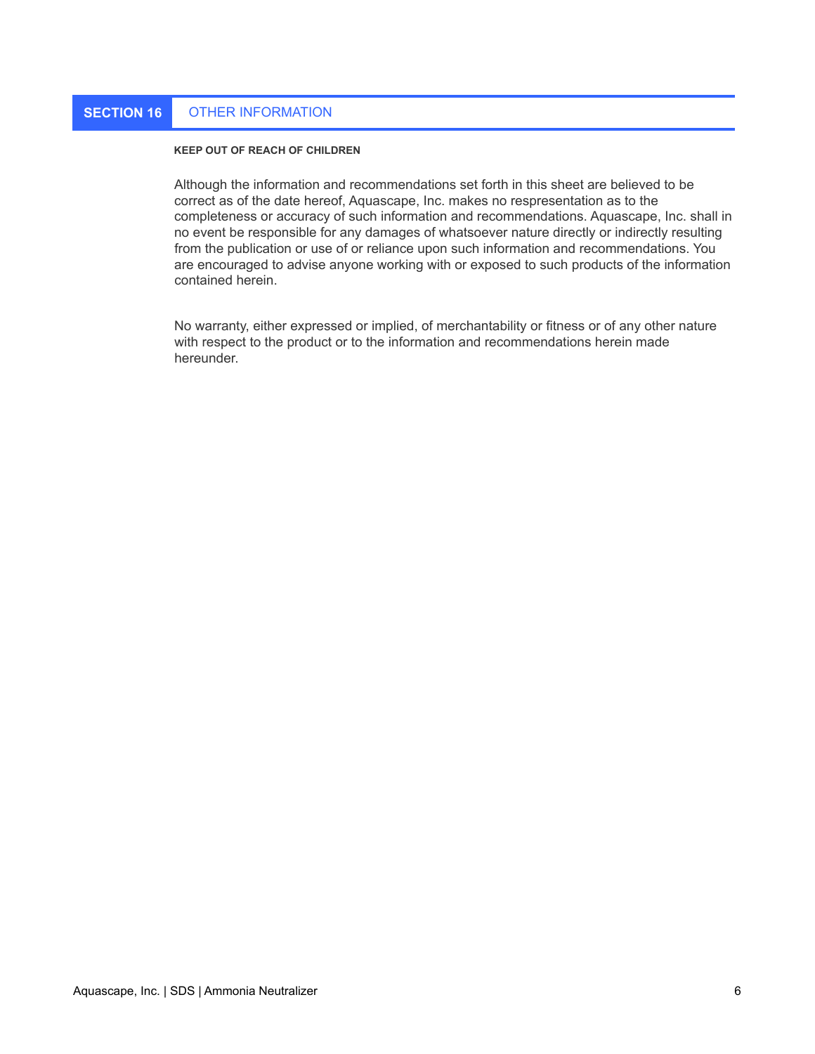# **SECTION 16** OTHER INFORMATION

### **KEEP OUT OF REACH OF CHILDREN**

Although the information and recommendations set forth in this sheet are believed to be correct as of the date hereof, Aquascape, Inc. makes no respresentation as to the completeness or accuracy of such information and recommendations. Aquascape, Inc. shall in no event be responsible for any damages of whatsoever nature directly or indirectly resulting from the publication or use of or reliance upon such information and recommendations. You are encouraged to advise anyone working with or exposed to such products of the information contained herein.

No warranty, either expressed or implied, of merchantability or fitness or of any other nature with respect to the product or to the information and recommendations herein made hereunder.